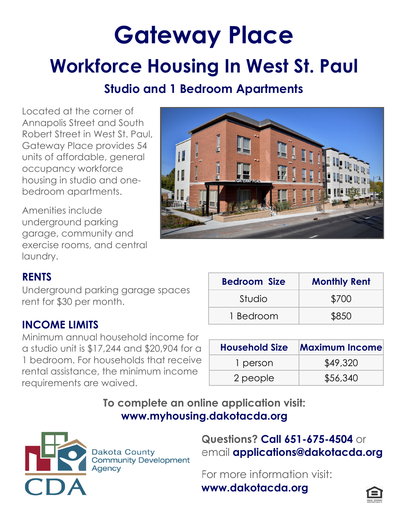# **Gateway Place Workforce Housing In West St. Paul**

# **Studio and 1 Bedroom Apartments**

Located at the corner of Annapolis Street and South Robert Street in West St. Paul, Gateway Place provides 54 units of affordable, general occupancy workforce housing in studio and onebedroom apartments.

Amenities include underground parking garage, community and exercise rooms, and central laundry. Ì



# **RENTS**

Underground parking garage spaces rent for \$30 per month.

#### **INCOME LIMITS**

Minimum annual household income for a studio unit is \$17,244 and \$20,904 for a 1 bedroom. For households that receive rental assistance, the minimum income requirements are waived.

| <b>Bedroom Size</b> | <b>Monthly Rent</b> |
|---------------------|---------------------|
| Studio              | \$700               |
| 1 Bedroom           | \$850               |

| <b>Household Size</b> | <b>Maximum Income</b> |
|-----------------------|-----------------------|
| 1 person              | \$49,320              |
| 2 people              | \$56,340              |

**To complete an online application visit: www.myhousing.dakotacda.org**



**Dakota County Community Development** Agency

**Questions? Call 651-675-4504** or email **applications@dakotacda.org** 

For more information visit: **www.dakotacda.org**